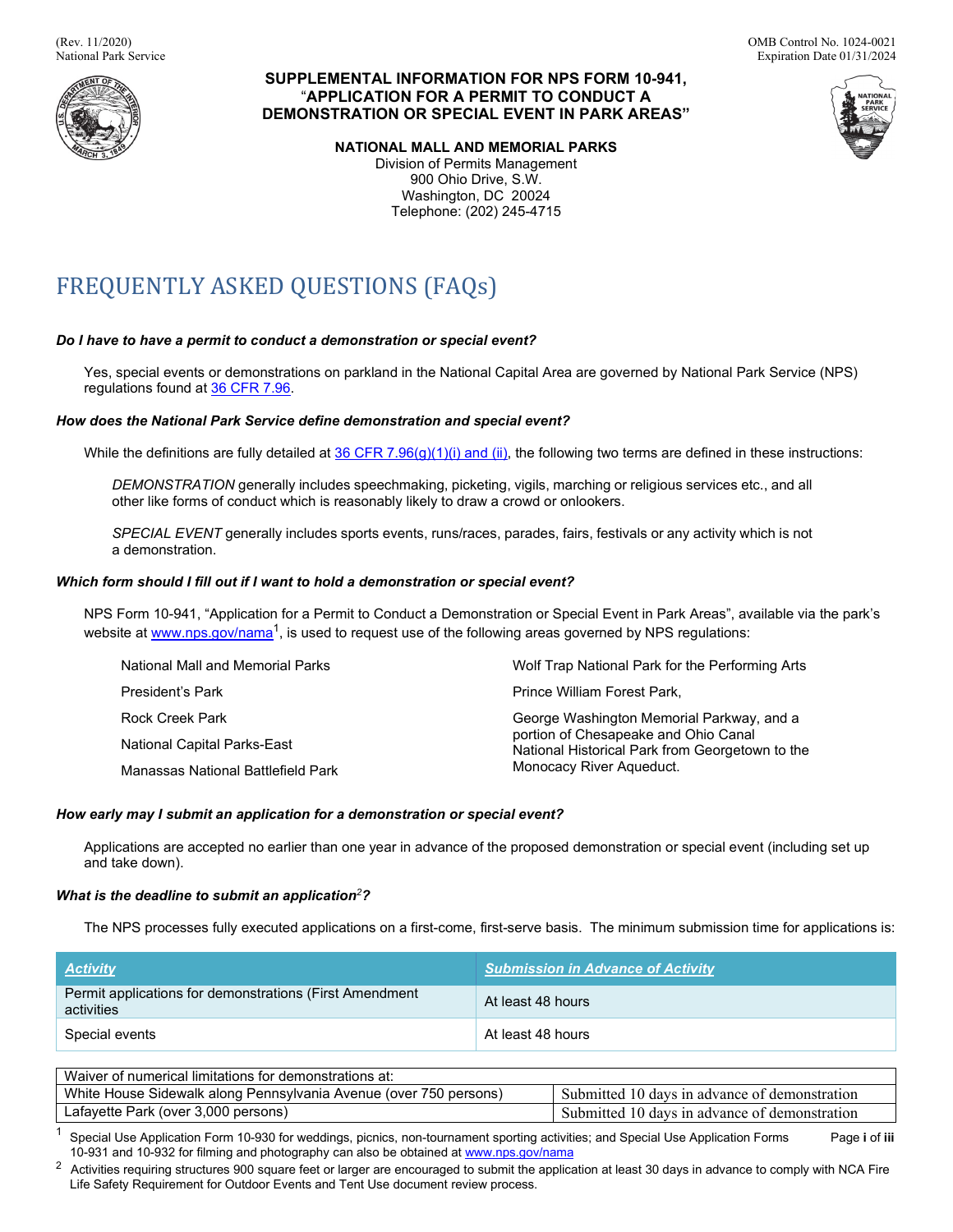

# **SUPPLEMENTAL INFORMATION FOR NPS FORM 10-941,**  "**APPLICATION FOR A PERMIT TO CONDUCT A DEMONSTRATION OR SPECIAL EVENT IN PARK AREAS"**

**NATIONAL MALL AND MEMORIAL PARKS** 

Division of Permits Management 900 Ohio Drive, S.W. Washington, DC 20024 Telephone: (202) 245-4715



# FREQUENTLY ASKED QUESTIONS (FAQs)

# *Do I have to have a permit to conduct a demonstration or special event?*

 Yes, special events or demonstrations on parkland in the National Capital Area are governed by National Park Service (NPS) regulations found a[t 36 CFR 7.96.](http://www.nps.gov/nama/planyourvisit/upload/36-CFR-7-96-2011.pdf)

## *How does the National Park Service define demonstration and special event?*

While the definitions are fully detailed at <u>36 CFR 7.96(g)(1)(i) and (ii)</u>, the following two terms are defined in these instructions:

 *DEMONSTRATION* generally includes speechmaking, picketing, vigils, marching or religious services etc., and all other like forms of conduct which is reasonably likely to draw a crowd or onlookers.

 *SPECIAL EVENT* generally includes sports events, runs/races, parades, fairs, festivals or any activity which is not a demonstration.

## *Which form should I fill out if I want to hold a demonstration or special event?*

NPS Form 10-941, "Application for a Permit to Conduct a Demonstration or Special Event in Park Areas", available via the park's websiteat <u>www.nps.gov/nama</u><sup>1</sup>, is used to request use of the following areas governed by NPS regulations:

| National Mall and Memorial Parks   | Wolf Trap National Park for the Performing Arts                                         |  |  |
|------------------------------------|-----------------------------------------------------------------------------------------|--|--|
| President's Park                   | Prince William Forest Park,                                                             |  |  |
| <b>Rock Creek Park</b>             | George Washington Memorial Parkway, and a                                               |  |  |
| National Capital Parks-East        | portion of Chesapeake and Ohio Canal<br>National Historical Park from Georgetown to the |  |  |
| Manassas National Battlefield Park | Monocacy River Aqueduct.                                                                |  |  |

## *How early may I submit an application for a demonstration or special event?*

Applications are accepted no earlier than one year in advance of the proposed demonstration or special event (including set up and take down).

# *What is the deadline to submit an application<sup>2</sup>?*

The NPS processes fully executed applications on a first-come, first-serve basis. The minimum submission time for applications is:

| <b>Activity</b>                                                       | <b>Submission in Advance of Activity</b> |  |  |  |  |
|-----------------------------------------------------------------------|------------------------------------------|--|--|--|--|
| Permit applications for demonstrations (First Amendment<br>activities | At least 48 hours                        |  |  |  |  |
| Special events                                                        | At least 48 hours                        |  |  |  |  |
|                                                                       |                                          |  |  |  |  |
| Waiver of numerical limitations for demonstrations at:                |                                          |  |  |  |  |

| Waiver of numerical limitations for demonstrations at:            |                                               |
|-------------------------------------------------------------------|-----------------------------------------------|
| White House Sidewalk along Pennsylvania Avenue (over 750 persons) | Submitted 10 days in advance of demonstration |
| Lafayette Park (over 3,000 persons)                               | Submitted 10 days in advance of demonstration |

<sup>1</sup>Special Use Application Form 10-930 for weddings, picnics, non-tournament sporting activities; and Special Use Application Forms<br>10-931 and 10-932 for filming and photography can also be obtained at <u><www.nps.gov/nama></u> 10-931 and 10-932 for filming and photography can also be obtained at www.nps.gov/nama Page **i** of **iii** 

 $^2$  Activities requiring structures 900 square feet or larger are encouraged to submit the application at least 30 days in advance to comply with NCA Fire Life Safety Requirement for Outdoor Events and Tent Use document review process.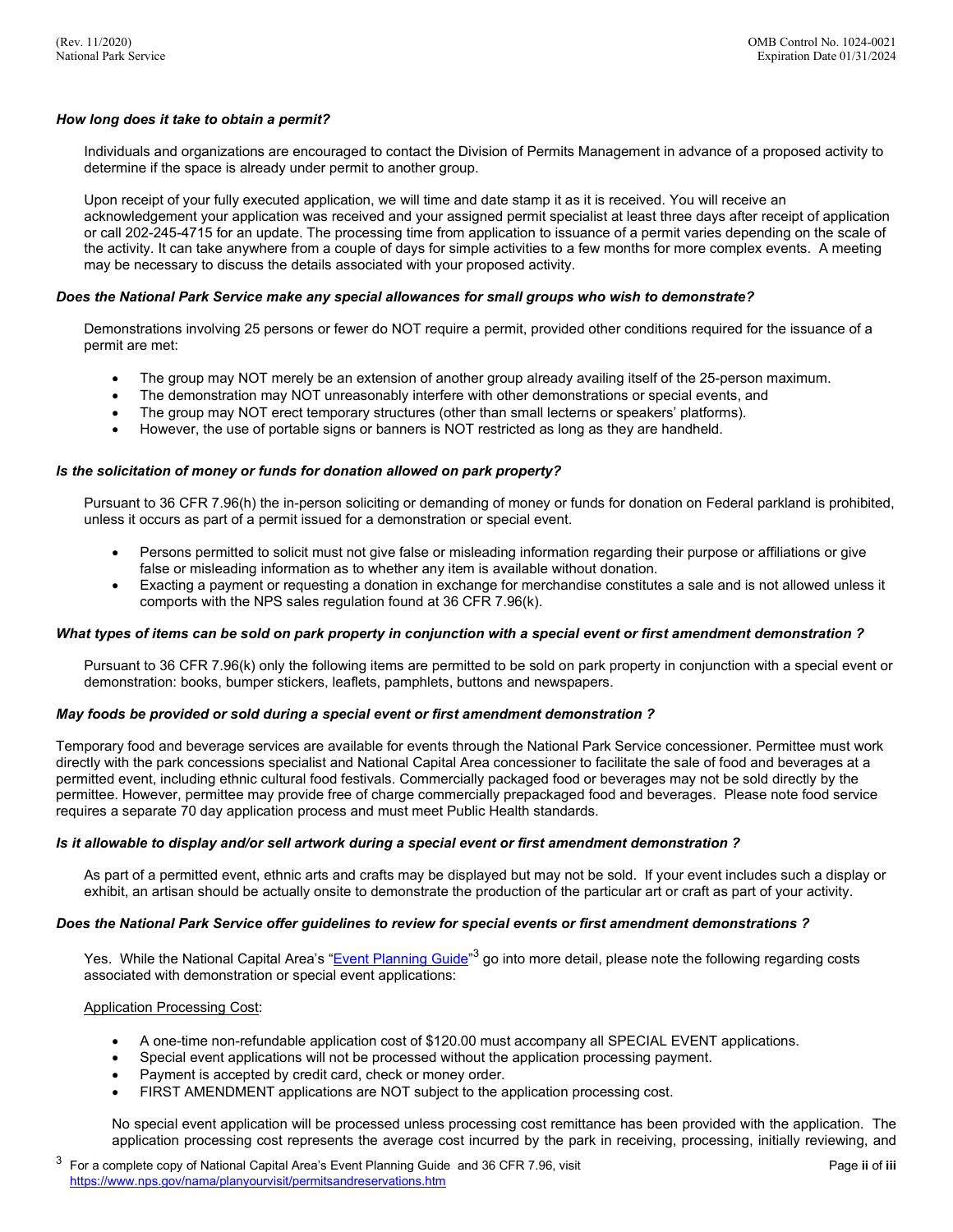### *How long does it take to obtain a permit?*

determine if the space is already under permit to another group. Individuals and organizations are encouraged to contact the Division of Permits Management in advance of a proposed activity to

determine if the space is already under permit to another group.<br>Upon receipt of your fully executed application, we will time and date stamp it as it is received. You will receive an the activity. It can take anywhere from a couple of days for simple activities to a few months for more complex events. A meeting acknowledgement your application was received and your assigned permit specialist at least three days after receipt of application or call 202-245-4715 for an update. The processing time from application to issuance of a permit varies depending on the scale of may be necessary to discuss the details associated with your proposed activity.

#### *Does the National Park Service make any special allowances for small groups who wish to demonstrate?*

Demonstrations involving 25 persons or fewer do NOT require a permit, provided other conditions required for the issuance of a permit are met:

- The group may NOT merely be an extension of another group already availing itself of the 25-person maximum.
- The demonstration may NOT unreasonably interfere with other demonstrations or special events, and
- The group may NOT erect temporary structures (other than small lecterns or speakers' platforms).
- However, the use of portable signs or banners is NOT restricted as long as they are handheld.

#### *Is the solicitation of money or funds for donation allowed on park property?*

 unless it occurs as part of a permit issued for a demonstration or special event. Pursuant to 36 CFR 7.96(h) the in-person soliciting or demanding of money or funds for donation on Federal parkland is prohibited,

- Persons permitted to solicit must not give false or misleading information regarding their purpose or affiliations or give false or misleading information as to whether any item is available without donation.
- • Exacting a payment or requesting a donation in exchange for merchandise constitutes a sale and is not allowed unless it comports with the NPS sales regulation found at 36 CFR 7.96(k).

#### *What types of items can be sold on park property in conjunction with a special event or first amendment demonstration ?*

 Pursuant to 36 CFR 7.96(k) only the following items are permitted to be sold on park property in conjunction with a special event or demonstration: books, bumper stickers, leaflets, pamphlets, buttons and newspapers.

#### *May foods be provided or sold during a special event or first amendment demonstration ?*

 requires a separate 70 day application process and must meet Public Health standards. Temporary food and beverage services are available for events through the National Park Service concessioner. Permittee must work directly with the park concessions specialist and National Capital Area concessioner to facilitate the sale of food and beverages at a permitted event, including ethnic cultural food festivals. Commercially packaged food or beverages may not be sold directly by the permittee. However, permittee may provide free of charge commercially prepackaged food and beverages. Please note food service

#### *Is it allowable to display and/or sell artwork during a special event or first amendment demonstration ?*

 As part of a permitted event, ethnic arts and crafts may be displayed but may not be sold. If your event includes such a display or exhibit, an artisan should be actually onsite to demonstrate the production of the particular art or craft as part of your activity.

#### *Does the National Park Service offer guidelines to review for special events or first amendment demonstrations ?*

Yes. While the National Capital Area's "<u>Event Planning Guide</u>"<sup>3</sup> go into more detail, please note the following regarding costs associated with demonstration or special event applications:

#### Application Processing Cost:

- A one-time non-refundable application cost of \$120.00 must accompany all SPECIAL EVENT applications.
- Special event applications will not be processed without the application processing payment.
- Payment is accepted by credit card, check or money order.
- FIRST AMENDMENT applications are NOT subject to the application processing cost.

No special event application will be processed unless processing cost remittance has been provided with the application. The application processing cost represents the average cost incurred by the park in receiving, processing, initially reviewing, and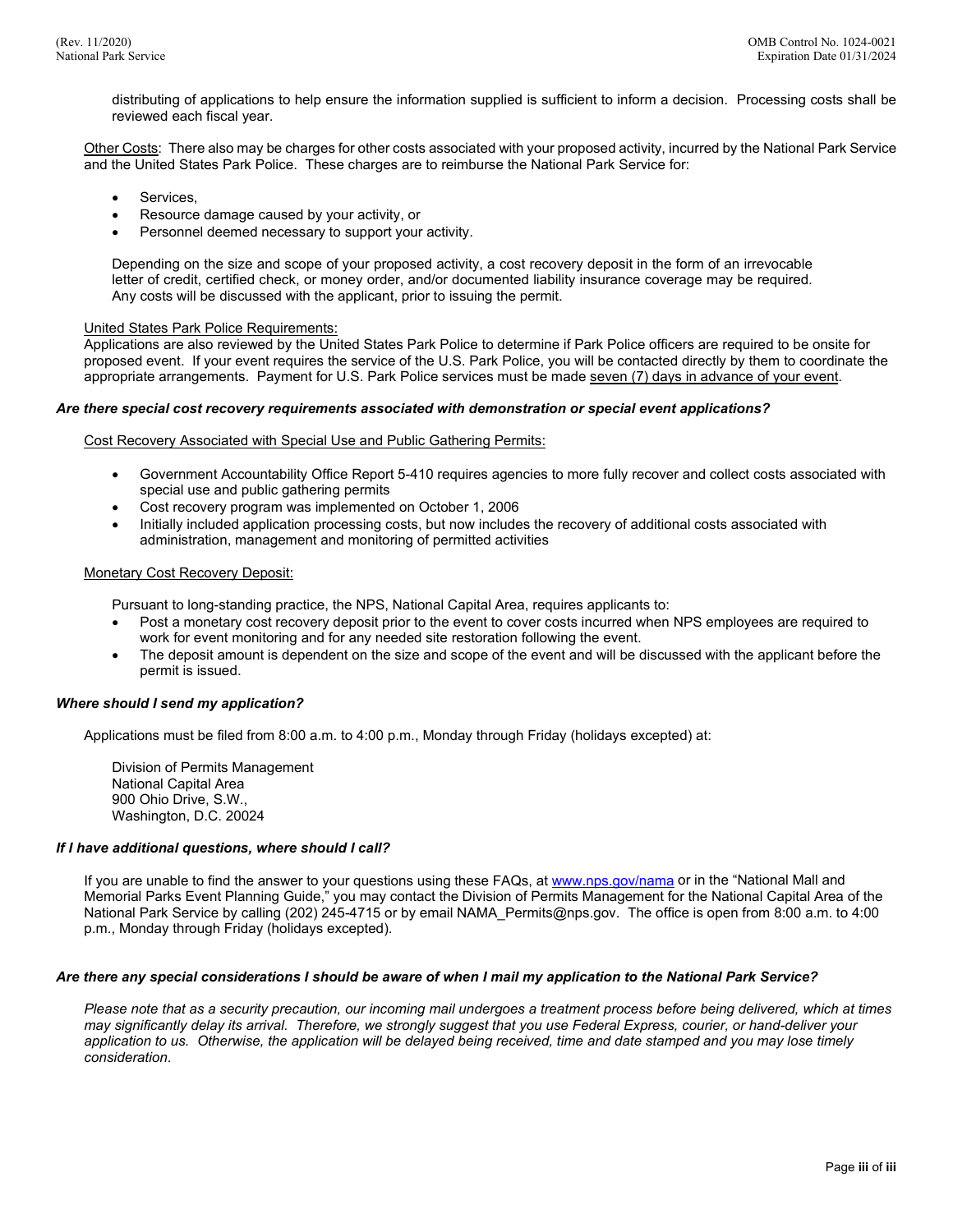distributing of applications to help ensure the information supplied is sufficient to inform a decision. Processing costs shall be reviewed each fiscal year.

<u>Other Costs</u>: There also may be charges for other costs associated with your proposed activity, incurred by the National Park Service and the United States Park Police. These charges are to reimburse the National Park Service for:

- Services.
- Resource damage caused by your activity, or
- Personnel deemed necessary to support your activity.

 letter of credit, certified check, or money order, and/or documented liability insurance coverage may be required. Depending on the size and scope of your proposed activity, a cost recovery deposit in the form of an irrevocable Any costs will be discussed with the applicant, prior to issuing the permit.

#### United States Park Police Requirements:

 Applications are also reviewed by the United States Park Police to determine if Park Police officers are required to be onsite for proposed event. If your event requires the service of the U.S. Park Police, you will be contacted directly by them to coordinate the appropriate arrangements. Payment for U.S. Park Police services must be made <u>seven (7) days in advance of your event</u>.

#### *Are there special cost recovery requirements associated with demonstration or special event applications?*

Cost Recovery Associated with Special Use and Public Gathering Permits:

- Government Accountability Office Report 5-410 requires agencies to more fully recover and collect costs associated with special use and public gathering permits
- Cost recovery program was implemented on October 1, 2006
- Initially included application processing costs, but now includes the recovery of additional costs associated with administration, management and monitoring of permitted activities

#### Monetary Cost Recovery Deposit:

Pursuant to long-standing practice, the NPS, National Capital Area, requires applicants to:

- • Post a monetary cost recovery deposit prior to the event to cover costs incurred when NPS employees are required to work for event monitoring and for any needed site restoration following the event.
- The deposit amount is dependent on the size and scope of the event and will be discussed with the applicant before the permit is issued.

#### *Where should I send my application?*

Applications must be filed from 8:00 a.m. to 4:00 p.m., Monday through Friday (holidays excepted) at:

Division of Permits Management National Capital Area 900 Ohio Drive, S.W., Washington, D.C. 20024

#### *If I have additional questions, where should I call?*

If you are unable to find the answer to your questions using these FAQs, at <u>w[ww.nps.gov/nam](www.nps.gov/nama)a</u> or in the "National Mall and Memorial Parks Event Planning Guide," you may contact the Division of Permits Management for the National Capital Area of the National Park Service by calling (202) 245-4715 or by email [NAMA\\_Permits@nps.gov.](mailto:NAMA_Permits@nps.gov) The office is open from 8:00 a.m. to 4:00 p.m., Monday through Friday (holidays excepted).

#### *Are there any special considerations I should be aware of when I mail my application to the National Park Service?*

 *may significantly delay its arrival. Therefore, we strongly suggest that you use Federal Express, courier, or hand-deliver your application to us. Otherwise, the application will be delayed being received, time and date stamped and you may lose timely Please note that as a security precaution, our incoming mail undergoes a treatment process before being delivered, which at times consideration*.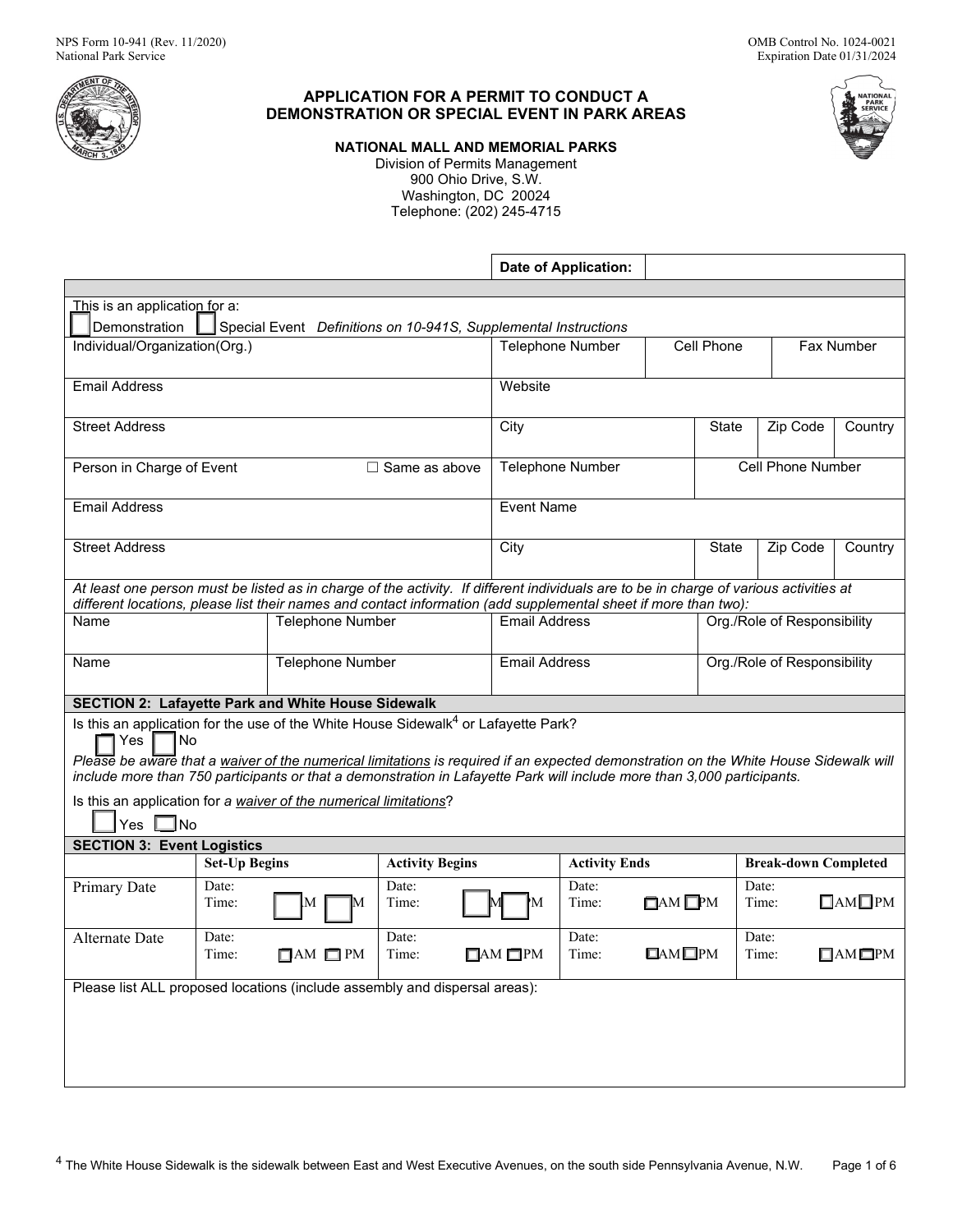

# **APPLICATION FOR A PERMIT TO CONDUCT A DEMONSTRATION OR SPECIAL EVENT IN PARK AREAS**

**NATIONAL MALL AND MEMORIAL PARKS** 

Division of Permits Management 900 Ohio Drive, S.W. Washington, DC 20024 Telephone: (202) 245-4715

|                                                                                                                                        |                      |                                                                 |                        |                     |                           | Date of Application: |                     |                             |                             |                     |
|----------------------------------------------------------------------------------------------------------------------------------------|----------------------|-----------------------------------------------------------------|------------------------|---------------------|---------------------------|----------------------|---------------------|-----------------------------|-----------------------------|---------------------|
|                                                                                                                                        |                      |                                                                 |                        |                     |                           |                      |                     |                             |                             |                     |
| This is an application for a:                                                                                                          |                      |                                                                 |                        |                     |                           |                      |                     |                             |                             |                     |
| Demonstration                                                                                                                          |                      | Special Event Definitions on 10-941S, Supplemental Instructions |                        |                     |                           |                      |                     |                             |                             |                     |
| Individual/Organization(Org.)                                                                                                          |                      |                                                                 |                        |                     | <b>Telephone Number</b>   |                      | Cell Phone          |                             | Fax Number                  |                     |
|                                                                                                                                        |                      |                                                                 |                        |                     |                           |                      |                     |                             |                             |                     |
| <b>Email Address</b>                                                                                                                   |                      |                                                                 |                        |                     | Website                   |                      |                     |                             |                             |                     |
|                                                                                                                                        |                      |                                                                 |                        |                     |                           |                      |                     |                             |                             |                     |
| <b>Street Address</b>                                                                                                                  |                      |                                                                 |                        |                     | City<br>Zip Code<br>State |                      |                     | Country                     |                             |                     |
|                                                                                                                                        |                      |                                                                 |                        |                     |                           |                      |                     |                             | Cell Phone Number           |                     |
| Person in Charge of Event                                                                                                              |                      |                                                                 | $\Box$ Same as above   |                     |                           | Telephone Number     |                     |                             |                             |                     |
| <b>Email Address</b>                                                                                                                   |                      |                                                                 |                        |                     | <b>Event Name</b>         |                      |                     |                             |                             |                     |
|                                                                                                                                        |                      |                                                                 |                        |                     |                           |                      |                     |                             |                             |                     |
| <b>Street Address</b>                                                                                                                  |                      |                                                                 |                        |                     | City                      |                      |                     | State                       | Zip Code                    | Country             |
|                                                                                                                                        |                      |                                                                 |                        |                     |                           |                      |                     |                             |                             |                     |
| At least one person must be listed as in charge of the activity. If different individuals are to be in charge of various activities at |                      |                                                                 |                        |                     |                           |                      |                     |                             |                             |                     |
| different locations, please list their names and contact information (add supplemental sheet if more than two):                        |                      |                                                                 |                        |                     |                           |                      |                     |                             |                             |                     |
| Name                                                                                                                                   |                      | <b>Telephone Number</b>                                         |                        |                     | <b>Fmail Address</b>      |                      |                     | Org./Role of Responsibility |                             |                     |
|                                                                                                                                        |                      |                                                                 |                        |                     |                           |                      |                     |                             |                             |                     |
| Name                                                                                                                                   |                      | Telephone Number                                                |                        |                     | <b>Email Address</b>      |                      |                     | Org./Role of Responsibility |                             |                     |
|                                                                                                                                        |                      |                                                                 |                        |                     |                           |                      |                     |                             |                             |                     |
| <b>SECTION 2: Lafayette Park and White House Sidewalk</b>                                                                              |                      |                                                                 |                        |                     |                           |                      |                     |                             |                             |                     |
| Is this an application for the use of the White House Sidewalk <sup>4</sup> or Lafayette Park?<br>No<br>Yes                            |                      |                                                                 |                        |                     |                           |                      |                     |                             |                             |                     |
| Please be aware that a waiver of the numerical limitations is required if an expected demonstration on the White House Sidewalk will   |                      |                                                                 |                        |                     |                           |                      |                     |                             |                             |                     |
| include more than 750 participants or that a demonstration in Lafayette Park will include more than 3,000 participants.                |                      |                                                                 |                        |                     |                           |                      |                     |                             |                             |                     |
| Is this an application for a waiver of the numerical limitations?                                                                      |                      |                                                                 |                        |                     |                           |                      |                     |                             |                             |                     |
| $\Box$ No<br>Yes                                                                                                                       |                      |                                                                 |                        |                     |                           |                      |                     |                             |                             |                     |
| <b>SECTION 3: Event Logistics</b>                                                                                                      |                      |                                                                 |                        |                     |                           |                      |                     |                             |                             |                     |
|                                                                                                                                        | <b>Set-Up Begins</b> |                                                                 | <b>Activity Begins</b> |                     |                           | <b>Activity Ends</b> |                     |                             | <b>Break-down Completed</b> |                     |
| Primary Date                                                                                                                           | Date:                |                                                                 | Date:                  |                     |                           | Date:                |                     |                             | Date:                       | $\Box$ AM $\Box$ PM |
|                                                                                                                                        | Time:                |                                                                 | Time:                  |                     | M                         | Time:                | $\Box$ AM $\Box$ PM |                             | Time:                       |                     |
| Alternate Date                                                                                                                         | Date:                |                                                                 | Date:                  |                     |                           | Date:                |                     |                             | Date:                       |                     |
|                                                                                                                                        | Time:                | $\Box$ AM $\Box$ PM                                             | Time:                  | $\Box$ AM $\Box$ PM |                           | Time:                | $\Box$ AM $\Box$ PM |                             | Time:                       | $\Box$ AM $\Box$ PM |
|                                                                                                                                        |                      |                                                                 |                        |                     |                           |                      |                     |                             |                             |                     |
| Please list ALL proposed locations (include assembly and dispersal areas):                                                             |                      |                                                                 |                        |                     |                           |                      |                     |                             |                             |                     |
|                                                                                                                                        |                      |                                                                 |                        |                     |                           |                      |                     |                             |                             |                     |
|                                                                                                                                        |                      |                                                                 |                        |                     |                           |                      |                     |                             |                             |                     |
|                                                                                                                                        |                      |                                                                 |                        |                     |                           |                      |                     |                             |                             |                     |
|                                                                                                                                        |                      |                                                                 |                        |                     |                           |                      |                     |                             |                             |                     |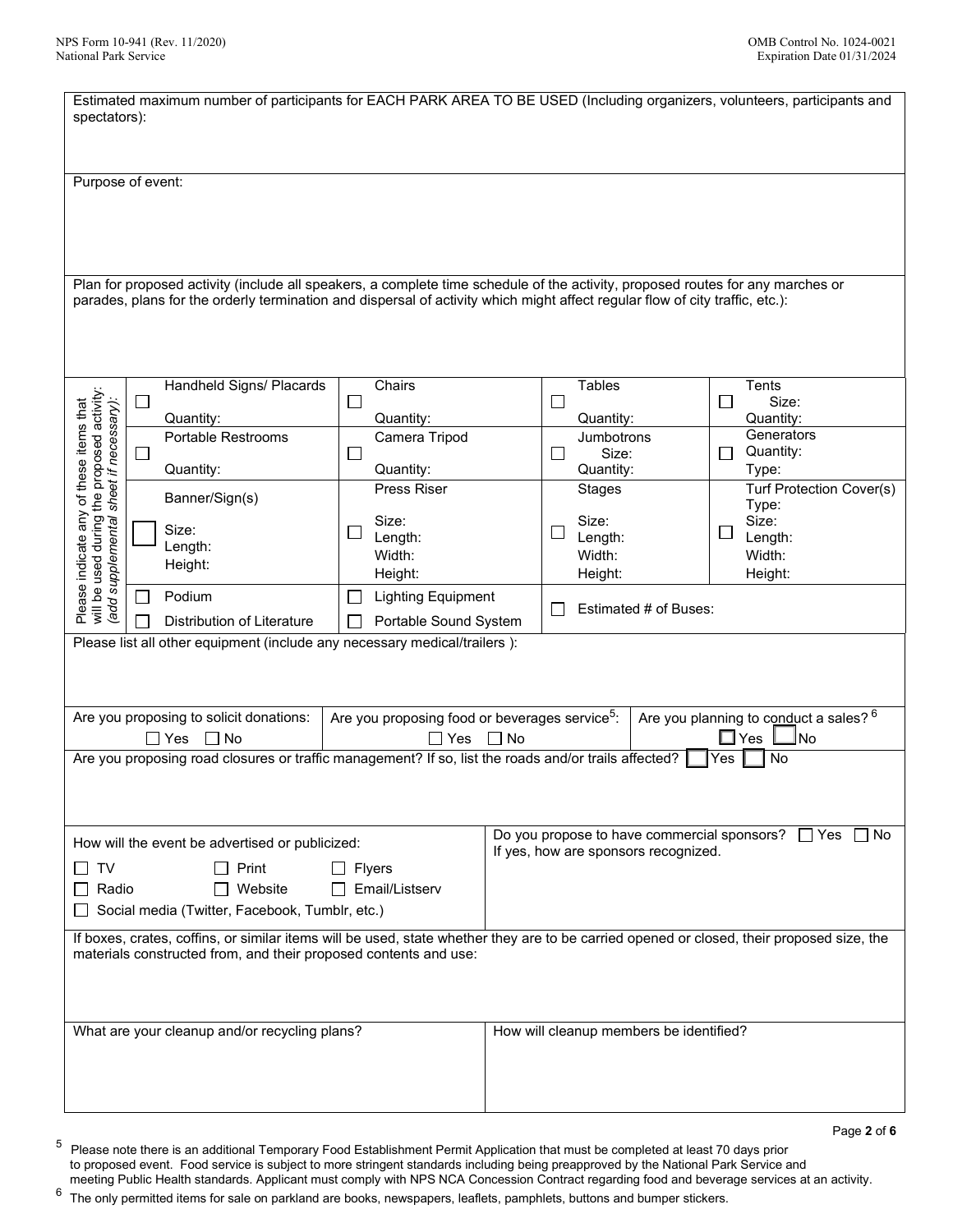| Estimated maximum number of participants for EACH PARK AREA TO BE USED (Including organizers, volunteers, participants and<br>spectators):                                                                    |                                                                                                                                    |                                       |           |                                                                                                |                                           |  |
|---------------------------------------------------------------------------------------------------------------------------------------------------------------------------------------------------------------|------------------------------------------------------------------------------------------------------------------------------------|---------------------------------------|-----------|------------------------------------------------------------------------------------------------|-------------------------------------------|--|
|                                                                                                                                                                                                               |                                                                                                                                    |                                       |           |                                                                                                |                                           |  |
|                                                                                                                                                                                                               | Purpose of event:                                                                                                                  |                                       |           |                                                                                                |                                           |  |
|                                                                                                                                                                                                               |                                                                                                                                    |                                       |           |                                                                                                |                                           |  |
|                                                                                                                                                                                                               |                                                                                                                                    |                                       |           |                                                                                                |                                           |  |
|                                                                                                                                                                                                               | Plan for proposed activity (include all speakers, a complete time schedule of the activity, proposed routes for any marches or     |                                       |           |                                                                                                |                                           |  |
|                                                                                                                                                                                                               | parades, plans for the orderly termination and dispersal of activity which might affect regular flow of city traffic, etc.):       |                                       |           |                                                                                                |                                           |  |
|                                                                                                                                                                                                               |                                                                                                                                    |                                       |           |                                                                                                |                                           |  |
|                                                                                                                                                                                                               | Handheld Signs/ Placards                                                                                                           | Chairs                                |           | <b>Tables</b>                                                                                  | Tents                                     |  |
|                                                                                                                                                                                                               | $\Box$<br>Quantity:                                                                                                                | $\Box$<br>Quantity:                   |           | $\blacksquare$<br>Quantity:                                                                    | Size:<br>П<br>Quantity:                   |  |
|                                                                                                                                                                                                               | Portable Restrooms                                                                                                                 | Camera Tripod                         |           | <b>Jumbotrons</b>                                                                              | Generators                                |  |
|                                                                                                                                                                                                               | $\Box$<br>Quantity:                                                                                                                | $\overline{\phantom{a}}$<br>Quantity: |           | Size:<br>$\mathsf{L}$<br>Quantity:                                                             | Quantity:<br>П<br>Type:                   |  |
| will be used during the proposed activity:<br>(add supplemental sheet if necessary):<br>Please indicate any of these items that                                                                               | Banner/Sign(s)                                                                                                                     | <b>Press Riser</b>                    |           | <b>Stages</b>                                                                                  | Turf Protection Cover(s)<br>Type:         |  |
|                                                                                                                                                                                                               | Size:                                                                                                                              | Size:                                 |           | Size:                                                                                          | Size:                                     |  |
|                                                                                                                                                                                                               | Length:                                                                                                                            | Length:<br>Width:                     |           | Length:<br>Width:                                                                              | Length:<br>Width:                         |  |
|                                                                                                                                                                                                               | Height:                                                                                                                            | Height:                               |           | Height:                                                                                        | Height:                                   |  |
|                                                                                                                                                                                                               | Podium<br>$\Box$                                                                                                                   | <b>Lighting Equipment</b>             |           | Estimated # of Buses:                                                                          |                                           |  |
| Portable Sound System<br><b>Distribution of Literature</b><br>Please list all other equipment (include any necessary medical/trailers):                                                                       |                                                                                                                                    |                                       |           |                                                                                                |                                           |  |
|                                                                                                                                                                                                               |                                                                                                                                    |                                       |           |                                                                                                |                                           |  |
|                                                                                                                                                                                                               |                                                                                                                                    |                                       |           |                                                                                                |                                           |  |
| Are you planning to conduct a sales? <sup>6</sup><br>Are you proposing to solicit donations:<br>Are you proposing food or beverages service <sup>5</sup> :                                                    |                                                                                                                                    |                                       |           |                                                                                                |                                           |  |
|                                                                                                                                                                                                               | $\square$ Yes<br>$\Box$ No<br>Are you proposing road closures or traffic management? If so, list the roads and/or trails affected? | $\Box$ Yes                            | $\Box$ No |                                                                                                | $\square$ Yes<br><u>I</u> No<br>Yes<br>No |  |
|                                                                                                                                                                                                               |                                                                                                                                    |                                       |           |                                                                                                |                                           |  |
|                                                                                                                                                                                                               |                                                                                                                                    |                                       |           |                                                                                                |                                           |  |
|                                                                                                                                                                                                               | How will the event be advertised or publicized:                                                                                    |                                       |           | Do you propose to have commercial sponsors? $\Box$ Yes<br>If yes, how are sponsors recognized. | No.                                       |  |
| l TV<br>$\Box$                                                                                                                                                                                                | Print                                                                                                                              | Flyers                                |           |                                                                                                |                                           |  |
| Website<br>Email/Listserv<br>□ Radio<br>$\perp$                                                                                                                                                               |                                                                                                                                    |                                       |           |                                                                                                |                                           |  |
| Social media (Twitter, Facebook, Tumblr, etc.)                                                                                                                                                                |                                                                                                                                    |                                       |           |                                                                                                |                                           |  |
| If boxes, crates, coffins, or similar items will be used, state whether they are to be carried opened or closed, their proposed size, the<br>materials constructed from, and their proposed contents and use: |                                                                                                                                    |                                       |           |                                                                                                |                                           |  |
|                                                                                                                                                                                                               |                                                                                                                                    |                                       |           |                                                                                                |                                           |  |
|                                                                                                                                                                                                               |                                                                                                                                    |                                       |           |                                                                                                |                                           |  |
|                                                                                                                                                                                                               | What are your cleanup and/or recycling plans?                                                                                      |                                       |           | How will cleanup members be identified?                                                        |                                           |  |
|                                                                                                                                                                                                               |                                                                                                                                    |                                       |           |                                                                                                |                                           |  |
|                                                                                                                                                                                                               |                                                                                                                                    |                                       |           |                                                                                                |                                           |  |

 $^5\,$  Please note there is an additional Temporary Food Establishment Permit Application that must be completed at least 70 days prior to proposed event. Food service is subject to more stringent standards including being preapproved by the National Park Service and meeting Public Health standards. Applicant must comply with NPS NCA Concession Contract regarding food and beverage services at an activity.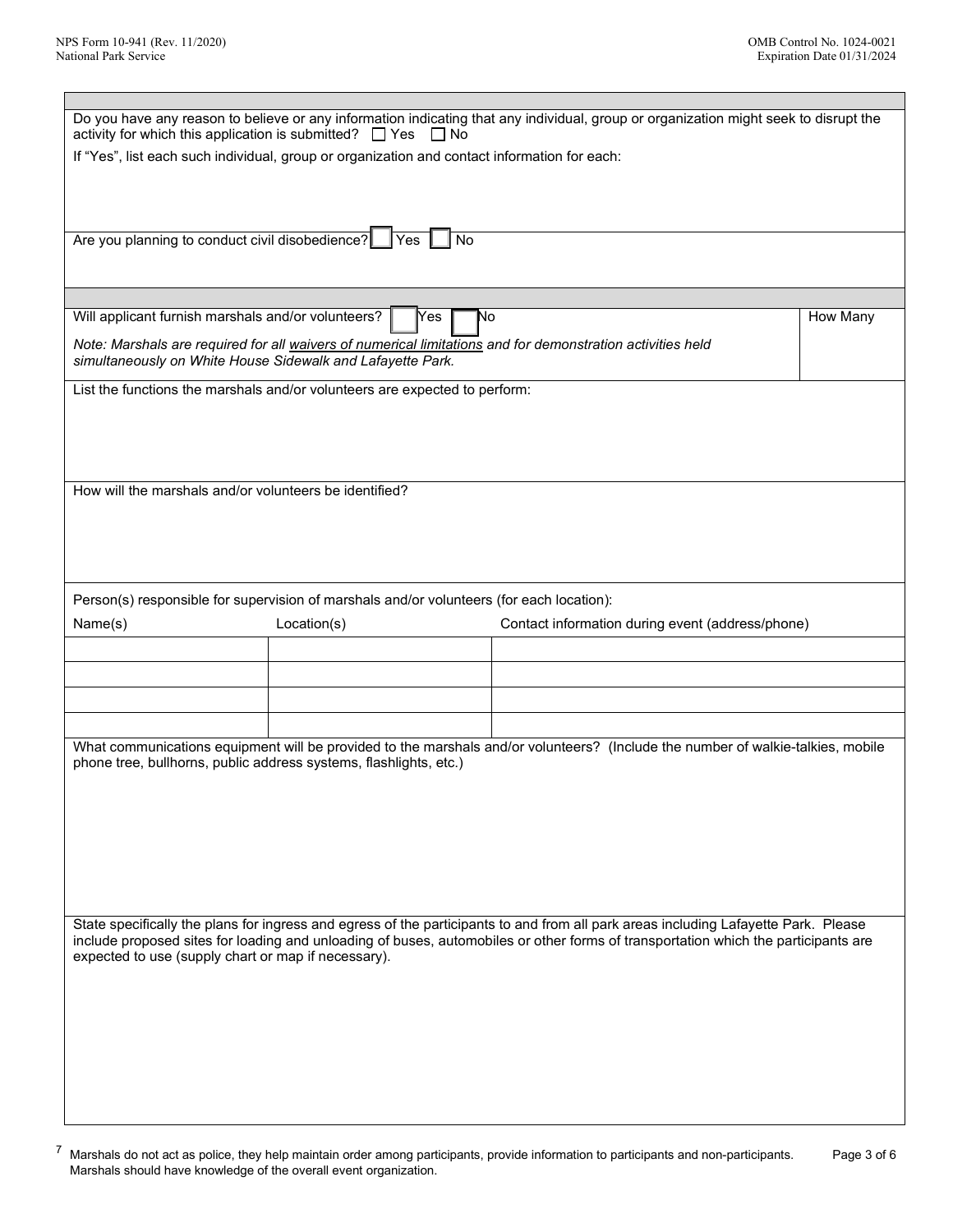| Do you have any reason to believe or any information indicating that any individual, group or organization might seek to disrupt the                                                                                                                                                                                             |                                                                                                            |  |          |  |
|----------------------------------------------------------------------------------------------------------------------------------------------------------------------------------------------------------------------------------------------------------------------------------------------------------------------------------|------------------------------------------------------------------------------------------------------------|--|----------|--|
| activity for which this application is submitted? $\Box$ Yes<br>$\Box$ No<br>If "Yes", list each such individual, group or organization and contact information for each:                                                                                                                                                        |                                                                                                            |  |          |  |
|                                                                                                                                                                                                                                                                                                                                  |                                                                                                            |  |          |  |
| Are you planning to conduct civil disobedience?   Yes                                                                                                                                                                                                                                                                            | No                                                                                                         |  |          |  |
|                                                                                                                                                                                                                                                                                                                                  |                                                                                                            |  |          |  |
| Will applicant furnish marshals and/or volunteers?                                                                                                                                                                                                                                                                               | [Yes<br>N٥                                                                                                 |  | How Many |  |
| simultaneously on White House Sidewalk and Lafayette Park.                                                                                                                                                                                                                                                                       | Note: Marshals are required for all waivers of numerical limitations and for demonstration activities held |  |          |  |
|                                                                                                                                                                                                                                                                                                                                  | List the functions the marshals and/or volunteers are expected to perform:                                 |  |          |  |
|                                                                                                                                                                                                                                                                                                                                  |                                                                                                            |  |          |  |
| How will the marshals and/or volunteers be identified?                                                                                                                                                                                                                                                                           |                                                                                                            |  |          |  |
|                                                                                                                                                                                                                                                                                                                                  |                                                                                                            |  |          |  |
|                                                                                                                                                                                                                                                                                                                                  | Person(s) responsible for supervision of marshals and/or volunteers (for each location):                   |  |          |  |
| Contact information during event (address/phone)<br>Name(s)<br>Location(s)                                                                                                                                                                                                                                                       |                                                                                                            |  |          |  |
|                                                                                                                                                                                                                                                                                                                                  |                                                                                                            |  |          |  |
|                                                                                                                                                                                                                                                                                                                                  |                                                                                                            |  |          |  |
|                                                                                                                                                                                                                                                                                                                                  |                                                                                                            |  |          |  |
|                                                                                                                                                                                                                                                                                                                                  |                                                                                                            |  |          |  |
| What communications equipment will be provided to the marshals and/or volunteers? (Include the number of walkie-talkies, mobile<br>phone tree, bullhorns, public address systems, flashlights, etc.)                                                                                                                             |                                                                                                            |  |          |  |
|                                                                                                                                                                                                                                                                                                                                  |                                                                                                            |  |          |  |
|                                                                                                                                                                                                                                                                                                                                  |                                                                                                            |  |          |  |
| State specifically the plans for ingress and egress of the participants to and from all park areas including Lafayette Park. Please<br>include proposed sites for loading and unloading of buses, automobiles or other forms of transportation which the participants are<br>expected to use (supply chart or map if necessary). |                                                                                                            |  |          |  |
|                                                                                                                                                                                                                                                                                                                                  |                                                                                                            |  |          |  |
|                                                                                                                                                                                                                                                                                                                                  |                                                                                                            |  |          |  |
|                                                                                                                                                                                                                                                                                                                                  |                                                                                                            |  |          |  |

 $^7$  Marshals do not act as police, they help maintain order among participants, provide information to participants and non-participants. Marshals should have knowledge of the overall event organization. Page 3 of 6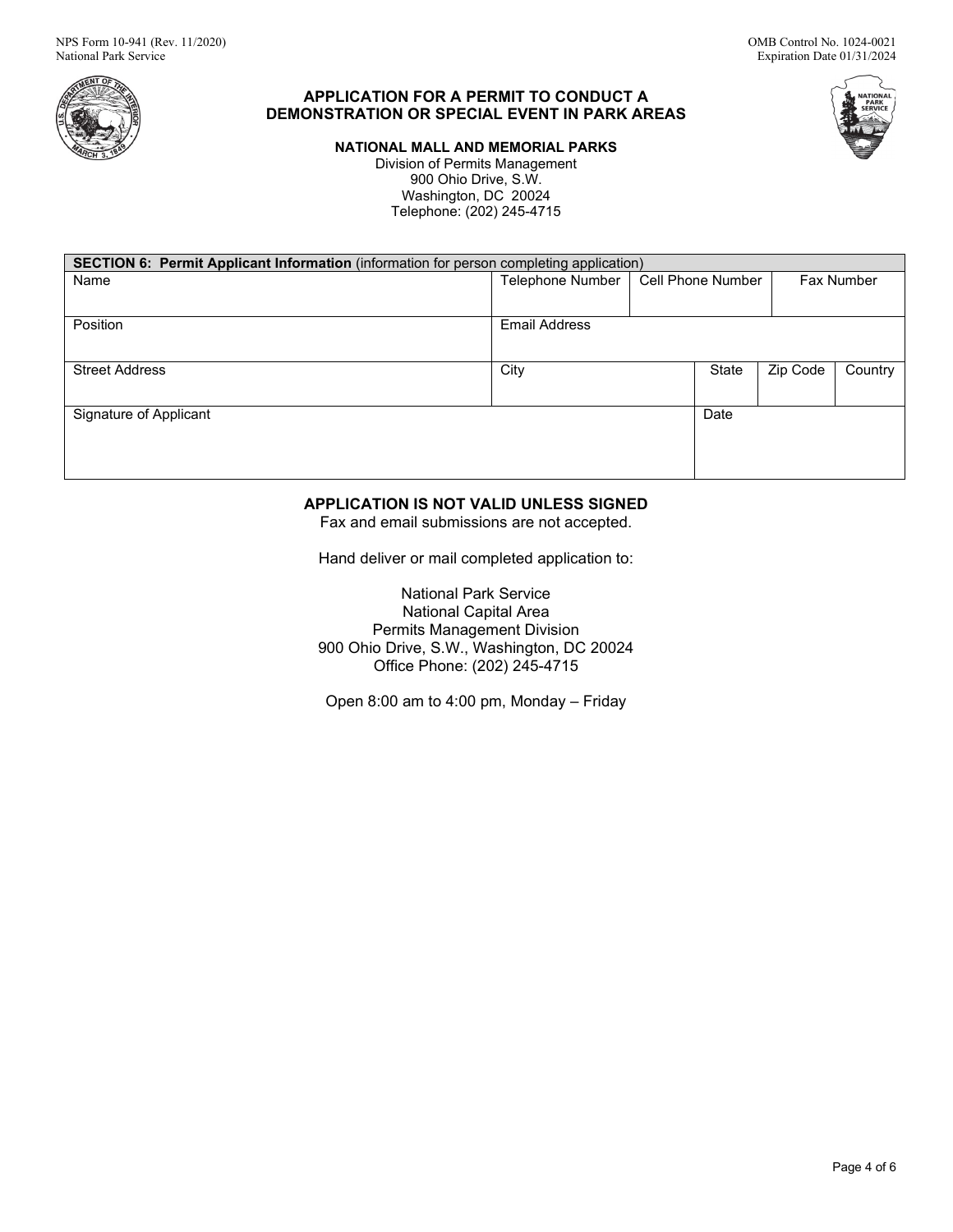

# **APPLICATION FOR A PERMIT TO CONDUCT A DEMONSTRATION OR SPECIAL EVENT IN PARK AREAS**

**NATIONAL MALL AND MEMORIAL PARKS** 

Division of Permits Management 900 Ohio Drive, S.W. Washington, DC 20024 Telephone: (202) 245-4715

| <b>NATIONAL</b><br><b>PARK</b> |  |
|--------------------------------|--|
| <b>SERVICE</b>                 |  |

| <b>SECTION 6: Permit Applicant Information</b> (information for person completing application) |                      |                   |       |          |            |
|------------------------------------------------------------------------------------------------|----------------------|-------------------|-------|----------|------------|
| Name                                                                                           | Telephone Number     | Cell Phone Number |       |          | Fax Number |
|                                                                                                |                      |                   |       |          |            |
|                                                                                                |                      |                   |       |          |            |
| Position                                                                                       | <b>Email Address</b> |                   |       |          |            |
|                                                                                                |                      |                   |       |          |            |
|                                                                                                |                      |                   |       |          |            |
| <b>Street Address</b>                                                                          | City                 |                   | State | Zip Code | Country    |
|                                                                                                |                      |                   |       |          |            |
|                                                                                                |                      |                   |       |          |            |
| Signature of Applicant                                                                         |                      |                   | Date  |          |            |
|                                                                                                |                      |                   |       |          |            |
|                                                                                                |                      |                   |       |          |            |
|                                                                                                |                      |                   |       |          |            |
|                                                                                                |                      |                   |       |          |            |

# **APPLICATION IS NOT VALID UNLESS SIGNED**

Fax and email submissions are not accepted.

Hand deliver or mail completed application to:

National Park Service National Capital Area Permits Management Division 900 Ohio Drive, S.W., Washington, DC 20024 Office Phone: (202) 245-4715

Open 8:00 am to 4:00 pm, Monday – Friday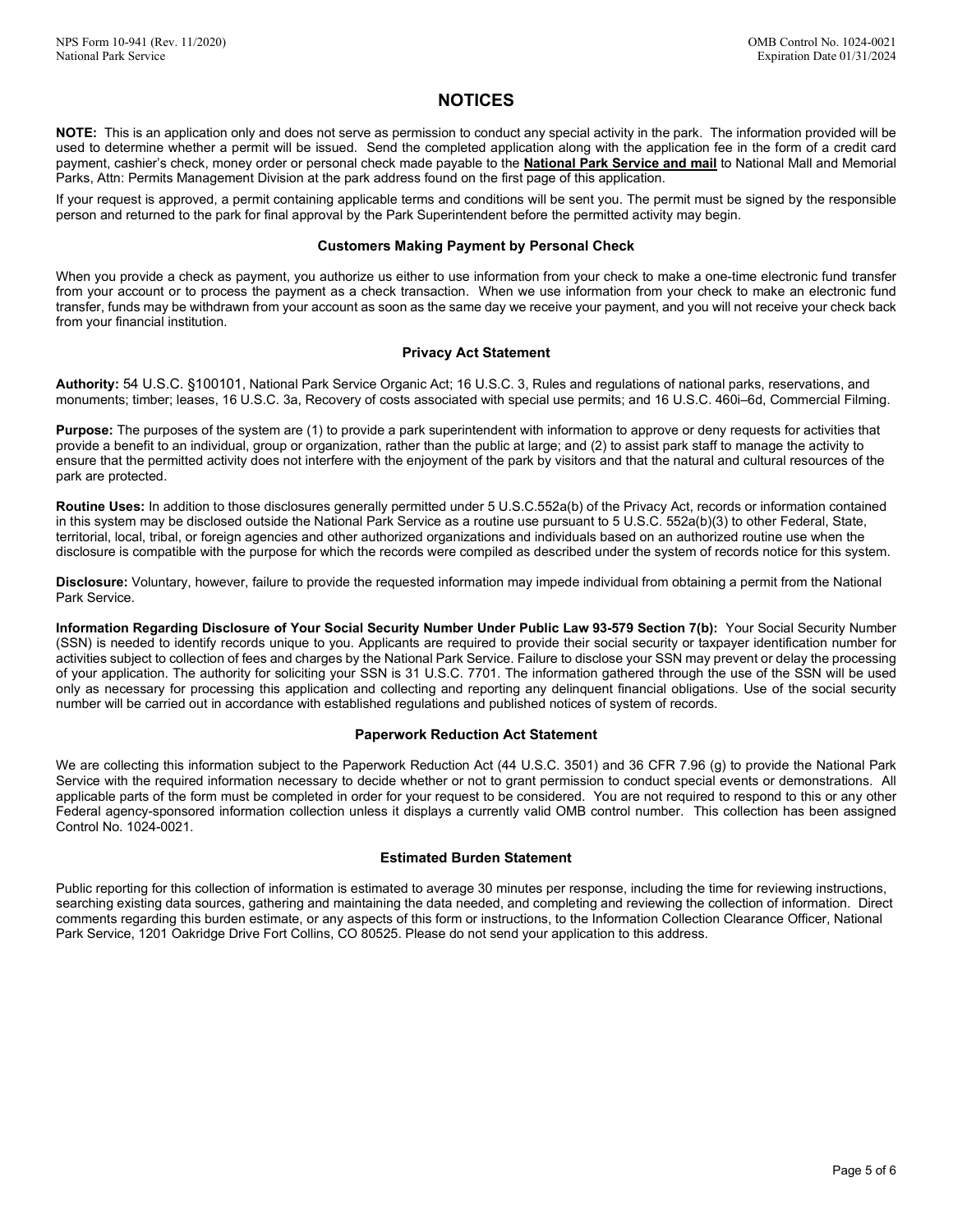# **NOTICES**

 **NOTE:** This is an application only and does not serve as permission to conduct any special activity in the park. The information provided will be used to determine whether a permit will be issued. Send the completed application along with the application fee in the form of a credit card Parks, Attn: Permits Management Division at the park address found on the first page of this application. payment, cashier's check, money order or personal check made payable to the **National Park Service and mail** to National Mall and Memorial

 If your request is approved, a permit containing applicable terms and conditions will be sent you. The permit must be signed by the responsible person and returned to the park for final approval by the Park Superintendent before the permitted activity may begin.

#### **Customers Making Payment by Personal Check**

 from your account or to process the payment as a check transaction. When we use information from your check to make an electronic fund transfer, funds may be withdrawn from your account as soon as the same day we receive your payment, and you will not receive your check back When you provide a check as payment, you authorize us either to use information from your check to make a one-time electronic fund transfer from your financial institution.

## **Privacy Act Statement**

 **Authority:** 54 U.S.C. §100101, National Park Service Organic Act; 16 U.S.C. 3, Rules and regulations of national parks, reservations, and monuments; timber; leases, 16 U.S.C. 3a, Recovery of costs associated with special use permits; and 16 U.S.C. 460i–6d, Commercial Filming.

 **Purpose:** The purposes of the system are (1) to provide a park superintendent with information to approve or deny requests for activities that provide a benefit to an individual, group or organization, rather than the public at large; and (2) to assist park staff to manage the activity to ensure that the permitted activity does not interfere with the enjoyment of the park by visitors and that the natural and cultural resources of the park are protected.

 **Routine Uses:** In addition to those disclosures generally permitted under 5 U.S.C.552a(b) of the Privacy Act, records or information contained in this system may be disclosed outside the National Park Service as a routine use pursuant to 5 U.S.C. 552a(b)(3) to other Federal, State, territorial, local, tribal, or foreign agencies and other authorized organizations and individuals based on an authorized routine use when the disclosure is compatible with the purpose for which the records were compiled as described under the system of records notice for this system.

 **Disclosure:** Voluntary, however, failure to provide the requested information may impede individual from obtaining a permit from the National Park Service.

 **Information Regarding Disclosure of Your Social Security Number Under Public Law 93-579 Section 7(b):** Your Social Security Number activities subject to collection of fees and charges by the National Park Service. Failure to disclose your SSN may prevent or delay the processing of your application. The authority for soliciting your SSN is 31 U.S.C. 7701. The information gathered through the use of the SSN will be used only as necessary for processing this application and collecting and reporting any delinquent financial obligations. Use of the social security (SSN) is needed to identify records unique to you. Applicants are required to provide their social security or taxpayer identification number for number will be carried out in accordance with established regulations and published notices of system of records.

#### **Paperwork Reduction Act Statement**

 We are collecting this information subject to the Paperwork Reduction Act (44 U.S.C. 3501) and 36 CFR 7.96 (g) to provide the National Park Service with the required information necessary to decide whether or not to grant permission to conduct special events or demonstrations. All applicable parts of the form must be completed in order for your request to be considered. You are not required to respond to this or any other Federal agency-sponsored information collection unless it displays a currently valid OMB control number. This collection has been assigned Control No. 1024-0021.

## **Estimated Burden Statement**

 searching existing data sources, gathering and maintaining the data needed, and completing and reviewing the collection of information. Direct Park Service, 1201 Oakridge Drive Fort Collins, CO 80525. Please do not send your application to this address. Public reporting for this collection of information is estimated to average 30 minutes per response, including the time for reviewing instructions, comments regarding this burden estimate, or any aspects of this form or instructions, to the Information Collection Clearance Officer, National